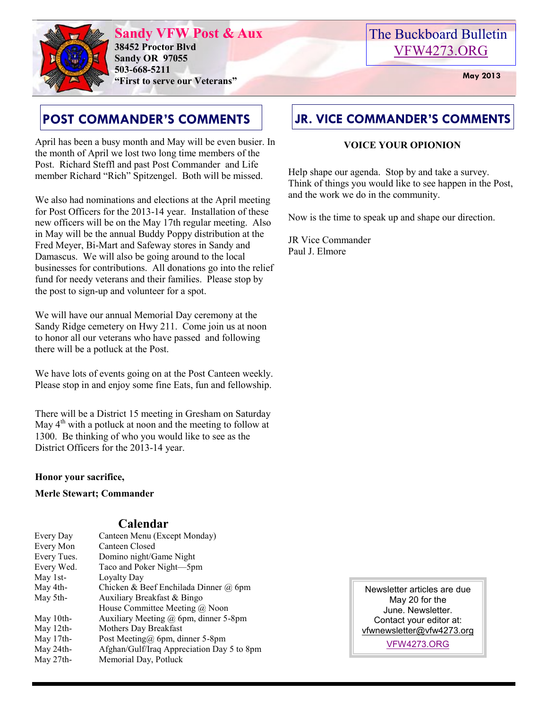

**Sandy VFW Post & Aux 38452 Proctor Blvd Sandy OR 97055 503-668-5211 "First to serve our Veterans" May 2013** 

# The Buckboard Bulletin [VFW4273.ORG](http://vfw4273.org/)

# **POST COMMANDER'S COMMENTS**

April has been a busy month and May will be even busier. In the month of April we lost two long time members of the Post. Richard Steffl and past Post Commander and Life member Richard "Rich" Spitzengel. Both will be missed.

We also had nominations and elections at the April meeting for Post Officers for the 2013-14 year. Installation of these new officers will be on the May 17th regular meeting. Also in May will be the annual Buddy Poppy distribution at the Fred Meyer, Bi-Mart and Safeway stores in Sandy and Damascus. We will also be going around to the local businesses for contributions. All donations go into the relief fund for needy veterans and their families. Please stop by the post to sign-up and volunteer for a spot.

We will have our annual Memorial Day ceremony at the Sandy Ridge cemetery on Hwy 211. Come join us at noon to honor all our veterans who have passed and following there will be a potluck at the Post.

We have lots of events going on at the Post Canteen weekly. Please stop in and enjoy some fine Eats, fun and fellowship.

There will be a District 15 meeting in Gresham on Saturday May  $4<sup>th</sup>$  with a potluck at noon and the meeting to follow at 1300. Be thinking of who you would like to see as the District Officers for the 2013-14 year.

## **Honor your sacrifice,**

**Merle Stewart; Commander** 

## **Calendar**

| Every Day   | Canteen Menu (Except Monday)               |
|-------------|--------------------------------------------|
| Every Mon   | Canteen Closed                             |
| Every Tues. | Domino night/Game Night                    |
| Every Wed.  | Taco and Poker Night—5pm                   |
| May 1st-    | Loyalty Day                                |
| May 4th-    | Chicken & Beef Enchilada Dinner $(a)$ 6pm  |
| May 5th-    | Auxiliary Breakfast & Bingo                |
|             | House Committee Meeting $(a)$ Noon         |
| May 10th-   | Auxiliary Meeting @ 6pm, dinner 5-8pm      |
| May 12th-   | Mothers Day Breakfast                      |
| May 17th-   | Post Meeting@ 6pm, dinner 5-8pm            |
| May 24th-   | Afghan/Gulf/Iraq Appreciation Day 5 to 8pm |
| May 27th-   | Memorial Day, Potluck                      |

# **JR. VICE COMMANDER'S COMMENTS**

## **VOICE YOUR OPIONION**

Help shape our agenda. Stop by and take a survey. Think of things you would like to see happen in the Post, and the work we do in the community.

Now is the time to speak up and shape our direction.

JR Vice Commander Paul J. Elmore

> Newsletter articles are due May 20 for the June. Newsletter. Contact your editor at: [vfwnewsletter@vfw4273.org](mailto:admin@vfw4273.org)

> > [VFW4273.ORG](http://vfw4273.org/)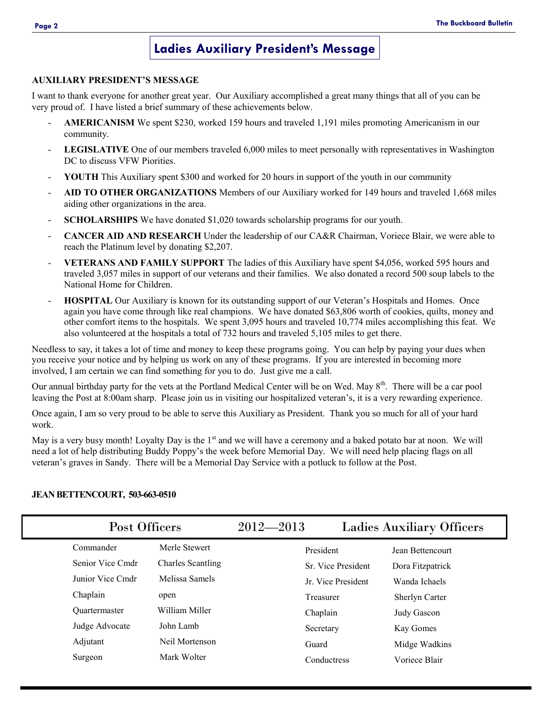## **Ladies Auxiliary President's Message**

#### **AUXILIARY PRESIDENT'S MESSAGE**

I want to thank everyone for another great year. Our Auxiliary accomplished a great many things that all of you can be very proud of. I have listed a brief summary of these achievements below.

- AMERICANISM We spent \$230, worked 159 hours and traveled 1,191 miles promoting Americanism in our community.
- LEGISLATIVE One of our members traveled 6,000 miles to meet personally with representatives in Washington DC to discuss VFW Piorities.
- YOUTH This Auxiliary spent \$300 and worked for 20 hours in support of the youth in our community
- **AID TO OTHER ORGANIZATIONS** Members of our Auxiliary worked for 149 hours and traveled 1,668 miles aiding other organizations in the area.
- **SCHOLARSHIPS** We have donated \$1,020 towards scholarship programs for our youth.
- **CANCER AID AND RESEARCH** Under the leadership of our CA&R Chairman, Voriece Blair, we were able to reach the Platinum level by donating \$2,207.
- **VETERANS AND FAMILY SUPPORT** The ladies of this Auxiliary have spent \$4,056, worked 595 hours and traveled 3,057 miles in support of our veterans and their families. We also donated a record 500 soup labels to the National Home for Children.
- **HOSPITAL** Our Auxiliary is known for its outstanding support of our Veteran's Hospitals and Homes. Once again you have come through like real champions. We have donated \$63,806 worth of cookies, quilts, money and other comfort items to the hospitals. We spent 3,095 hours and traveled 10,774 miles accomplishing this feat. We also volunteered at the hospitals a total of 732 hours and traveled 5,105 miles to get there.

Needless to say, it takes a lot of time and money to keep these programs going. You can help by paying your dues when you receive your notice and by helping us work on any of these programs. If you are interested in becoming more involved, I am certain we can find something for you to do. Just give me a call.

Our annual birthday party for the vets at the Portland Medical Center will be on Wed. May  $8<sup>th</sup>$ . There will be a car pool leaving the Post at 8:00am sharp. Please join us in visiting our hospitalized veteran's, it is a very rewarding experience.

Once again, I am so very proud to be able to serve this Auxiliary as President. Thank you so much for all of your hard work.

May is a very busy month! Loyalty Day is the 1<sup>st</sup> and we will have a ceremony and a baked potato bar at noon. We will need a lot of help distributing Buddy Poppy's the week before Memorial Day. We will need help placing flags on all veteran's graves in Sandy. There will be a Memorial Day Service with a potluck to follow at the Post.

| Post Officers                                                                                                       |                                                                                                                      | $2012 - 2013$ |                                                                                                      | <b>Ladies Auxiliary Officers</b>                                                                                     |
|---------------------------------------------------------------------------------------------------------------------|----------------------------------------------------------------------------------------------------------------------|---------------|------------------------------------------------------------------------------------------------------|----------------------------------------------------------------------------------------------------------------------|
| Commander<br>Senior Vice Cmdr<br>Junior Vice Cmdr<br>Chaplain<br><b>Ouartermaster</b><br>Judge Advocate<br>Adjutant | Merle Stewert<br><b>Charles Scantling</b><br>Melissa Samels<br>open<br>William Miller<br>John Lamb<br>Neil Mortenson |               | President<br>Sr. Vice President<br>Jr. Vice President<br>Treasurer<br>Chaplain<br>Secretary<br>Guard | Jean Bettencourt<br>Dora Fitzpatrick<br>Wanda Ichaels<br>Sherlyn Carter<br>Judy Gascon<br>Kay Gomes<br>Midge Wadkins |
| Surgeon                                                                                                             | Mark Wolter                                                                                                          |               | Conductress                                                                                          | Voriece Blair                                                                                                        |

#### **JEAN BETTENCOURT, 503-663-0510**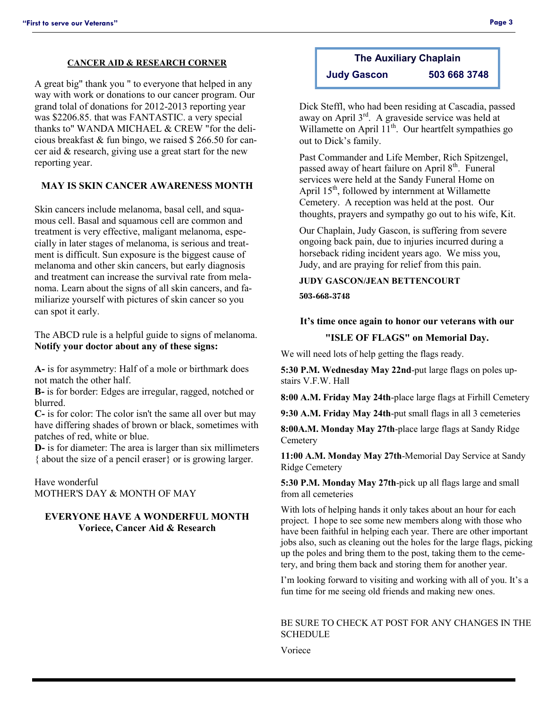#### **CANCER AID & RESEARCH CORNER**

A great big" thank you " to everyone that helped in any way with work or donations to our cancer program. Our grand tolal of donations for 2012-2013 reporting year was \$2206.85. that was FANTASTIC. a very special thanks to" WANDA MICHAEL & CREW "for the delicious breakfast & fun bingo, we raised \$ 266.50 for cancer aid & research, giving use a great start for the new reporting year.

#### **MAY IS SKIN CANCER AWARENESS MONTH**

Skin cancers include melanoma, basal cell, and squamous cell. Basal and squamous cell are common and treatment is very effective, maligant melanoma, especially in later stages of melanoma, is serious and treatment is difficult. Sun exposure is the biggest cause of melanoma and other skin cancers, but early diagnosis and treatment can increase the survival rate from melanoma. Learn about the signs of all skin cancers, and familiarize yourself with pictures of skin cancer so you can spot it early.

The ABCD rule is a helpful guide to signs of melanoma. **Notify your doctor about any of these signs:**

**A-** is for asymmetry: Half of a mole or birthmark does not match the other half.

**B-** is for border: Edges are irregular, ragged, notched or blurred.

**C-** is for color: The color isn't the same all over but may have differing shades of brown or black, sometimes with patches of red, white or blue.

**D-** is for diameter: The area is larger than six millimeters { about the size of a pencil eraser} or is growing larger.

Have wonderful MOTHER'S DAY & MONTH OF MAY

#### **EVERYONE HAVE A WONDERFUL MONTH Voriece, Cancer Aid & Research**

# **The Auxiliary Chaplain**

**Judy Gascon 503 668 3748**

Dick Steffl, who had been residing at Cascadia, passed away on April 3rd. A graveside service was held at Willamette on April  $11^{th}$ . Our heartfelt sympathies go out to Dick's family.

Past Commander and Life Member, Rich Spitzengel, passed away of heart failure on April 8<sup>th</sup>. Funeral services were held at the Sandy Funeral Home on April  $15<sup>th</sup>$ , followed by internment at Willamette Cemetery. A reception was held at the post. Our thoughts, prayers and sympathy go out to his wife, Kit.

Our Chaplain, Judy Gascon, is suffering from severe ongoing back pain, due to injuries incurred during a horseback riding incident years ago. We miss you, Judy, and are praying for relief from this pain.

### **JUDY GASCON/JEAN BETTENCOURT**

**503-668-3748**

#### **It's time once again to honor our veterans with our**

#### **"ISLE OF FLAGS" on Memorial Day.**

We will need lots of help getting the flags ready.

**5:30 P.M. Wednesday May 22nd**-put large flags on poles upstairs V.F.W. Hall

**8:00 A.M. Friday May 24th**-place large flags at Firhill Cemetery

**9:30 A.M. Friday May 24th**-put small flags in all 3 cemeteries

**8:00A.M. Monday May 27th**-place large flags at Sandy Ridge **Cemetery** 

**11:00 A.M. Monday May 27th**-Memorial Day Service at Sandy Ridge Cemetery

**5:30 P.M. Monday May 27th**-pick up all flags large and small from all cemeteries

With lots of helping hands it only takes about an hour for each project. I hope to see some new members along with those who have been faithful in helping each year. There are other important jobs also, such as cleaning out the holes for the large flags, picking up the poles and bring them to the post, taking them to the cemetery, and bring them back and storing them for another year.

I'm looking forward to visiting and working with all of you. It's a fun time for me seeing old friends and making new ones.

#### BE SURE TO CHECK AT POST FOR ANY CHANGES IN THE **SCHEDULE**

Voriece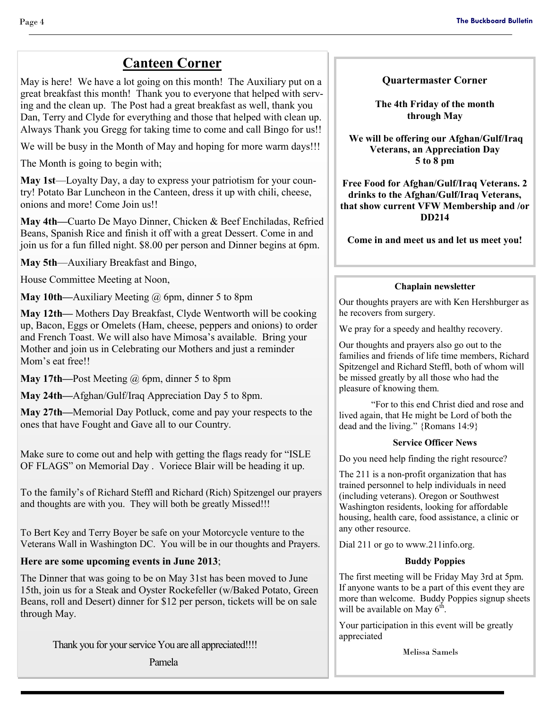# **Canteen Corner**

May is here! We have a lot going on this month! The Auxiliary put on a great breakfast this month! Thank you to everyone that helped with serving and the clean up. The Post had a great breakfast as well, thank you Dan, Terry and Clyde for everything and those that helped with clean up. Always Thank you Gregg for taking time to come and call Bingo for us!!

We will be busy in the Month of May and hoping for more warm days!!!

The Month is going to begin with;

**May 1st**—Loyalty Day, a day to express your patriotism for your country! Potato Bar Luncheon in the Canteen, dress it up with chili, cheese, onions and more! Come Join us!!

**May 4th—**Cuarto De Mayo Dinner, Chicken & Beef Enchiladas, Refried Beans, Spanish Rice and finish it off with a great Dessert. Come in and join us for a fun filled night. \$8.00 per person and Dinner begins at 6pm.

**May 5th**—Auxiliary Breakfast and Bingo,

House Committee Meeting at Noon,

**May 10th—Auxiliary Meeting @ 6pm, dinner 5 to 8pm** 

**May 12th—** Mothers Day Breakfast, Clyde Wentworth will be cooking up, Bacon, Eggs or Omelets (Ham, cheese, peppers and onions) to order and French Toast. We will also have Mimosa's available. Bring your Mother and join us in Celebrating our Mothers and just a reminder Mom's eat free!!

**May 17th—**Post Meeting @ 6pm, dinner 5 to 8pm

**May 24th—**Afghan/Gulf/Iraq Appreciation Day 5 to 8pm.

**May 27th—**Memorial Day Potluck, come and pay your respects to the ones that have Fought and Gave all to our Country.

Make sure to come out and help with getting the flags ready for "ISLE OF FLAGS" on Memorial Day . Voriece Blair will be heading it up.

To the family's of Richard Steffl and Richard (Rich) Spitzengel our prayers and thoughts are with you. They will both be greatly Missed!!!

To Bert Key and Terry Boyer be safe on your Motorcycle venture to the Veterans Wall in Washington DC. You will be in our thoughts and Prayers.

## **Here are some upcoming events in June 2013**;

The Dinner that was going to be on May 31st has been moved to June 15th, join us for a Steak and Oyster Rockefeller (w/Baked Potato, Green Beans, roll and Desert) dinner for \$12 per person, tickets will be on sale through May.

Thank you for your service You are all appreciated!!!!

Pamela

### **Quartermaster Corner**

**The 4th Friday of the month through May**

 **We will be offering our Afghan/Gulf/Iraq Veterans, an Appreciation Day 5 to 8 pm** 

**Free Food for Afghan/Gulf/Iraq Veterans. 2 drinks to the Afghan/Gulf/Iraq Veterans, that show current VFW Membership and /or DD214**

**Come in and meet us and let us meet you!** 

### **Chaplain newsletter**

Our thoughts prayers are with Ken Hershburger as he recovers from surgery.

We pray for a speedy and healthy recovery.

Our thoughts and prayers also go out to the families and friends of life time members, Richard Spitzengel and Richard Steffl, both of whom will be missed greatly by all those who had the pleasure of knowing them.

"For to this end Christ died and rose and lived again, that He might be Lord of both the dead and the living." {Romans 14:9}

#### **Service Officer News**

Do you need help finding the right resource?

The 211 is a non-profit organization that has trained personnel to help individuals in need (including veterans). Oregon or Southwest Washington residents, looking for affordable housing, health care, food assistance, a clinic or any other resource.

Dial 211 or go to www.211info.org.

#### **Buddy Poppies**

The first meeting will be Friday May 3rd at 5pm. If anyone wants to be a part of this event they are more than welcome. Buddy Poppies signup sheets will be available on May  $6<sup>th</sup>$ .

Your participation in this event will be greatly appreciated

Melissa Samels